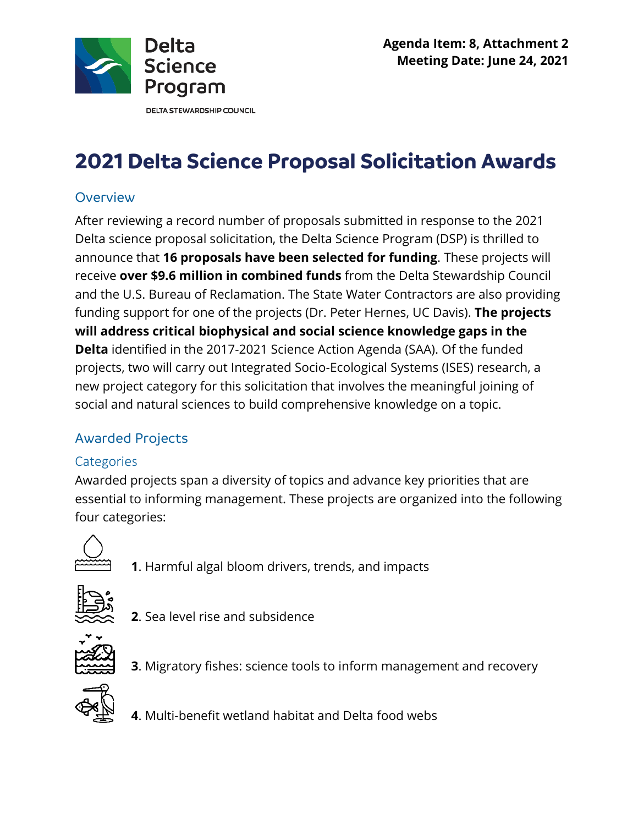

**DELTA STEWARDSHIP COUNCIL** 

# **2021 Delta Science Proposal Solicitation Awards**

#### **Overview**

 After reviewing a record number of proposals submitted in response to the 2021  receive **over \$9.6 million in combined funds** from the Delta Stewardship Council and the U.S. Bureau of Reclamation. The State Water Contractors are also providing **Delta** identified in the 2017-2021 Science Action Agenda (SAA). Of the funded Delta science proposal solicitation, the Delta Science Program (DSP) is thrilled to announce that **16 proposals have been selected for funding**. These projects will funding support for one of the projects (Dr. Peter Hernes, UC Davis). **The projects will address critical biophysical and social science knowledge gaps in the**  projects, two will carry out Integrated Socio-Ecological Systems (ISES) research, a new project category for this solicitation that involves the meaningful joining of social and natural sciences to build comprehensive knowledge on a topic.

## Awarded Projects

### **Categories**

 Awarded projects span a diversity of topics and advance key priorities that are essential to informing management. These projects are organized into the following four categories:



**1**. Harmful algal bloom drivers, trends, and impacts



**2**. Sea level rise and subsidence



**3**. Migratory fishes: science tools to inform management and recovery



**4**. Multi-benefit wetland habitat and Delta food webs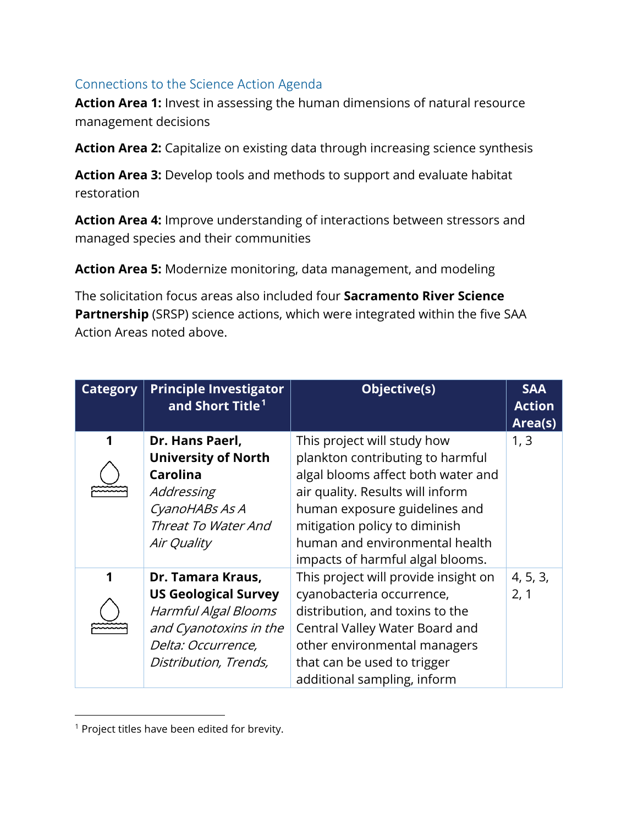#### Connections to the Science Action Agenda

**Action Area 1:** Invest in assessing the human dimensions of natural resource management decisions

**Action Area 2:** Capitalize on existing data through increasing science synthesis

**Action Area 3:** Develop tools and methods to support and evaluate habitat restoration

**Action Area 4:** Improve understanding of interactions between stressors and managed species and their communities

**Action Area 5:** Modernize monitoring, data management, and modeling

 The solicitation focus areas also included four **Sacramento River Science Partnership** (SRSP) science actions, which were integrated within the five SAA Action Areas noted above.

| <b>Category</b> | <b>Principle Investigator</b><br>and Short Title <sup>1</sup>                                                                                     | Objective(s)                                                                                                                                                                                                                                                                      | <b>SAA</b><br><b>Action</b><br>Area(s) |
|-----------------|---------------------------------------------------------------------------------------------------------------------------------------------------|-----------------------------------------------------------------------------------------------------------------------------------------------------------------------------------------------------------------------------------------------------------------------------------|----------------------------------------|
|                 | Dr. Hans Paerl,<br><b>University of North</b><br><b>Carolina</b><br>Addressing<br>CyanoHABs As A<br>Threat To Water And<br>Air Quality            | This project will study how<br>plankton contributing to harmful<br>algal blooms affect both water and<br>air quality. Results will inform<br>human exposure guidelines and<br>mitigation policy to diminish<br>human and environmental health<br>impacts of harmful algal blooms. | 1, 3                                   |
| 1               | Dr. Tamara Kraus,<br><b>US Geological Survey</b><br>Harmful Algal Blooms<br>and Cyanotoxins in the<br>Delta: Occurrence,<br>Distribution, Trends, | This project will provide insight on<br>cyanobacteria occurrence,<br>distribution, and toxins to the<br>Central Valley Water Board and<br>other environmental managers<br>that can be used to trigger<br>additional sampling, inform                                              | 4, 5, 3,<br>2, 1                       |

<sup>&</sup>lt;sup>1</sup> Project titles have been edited for brevity.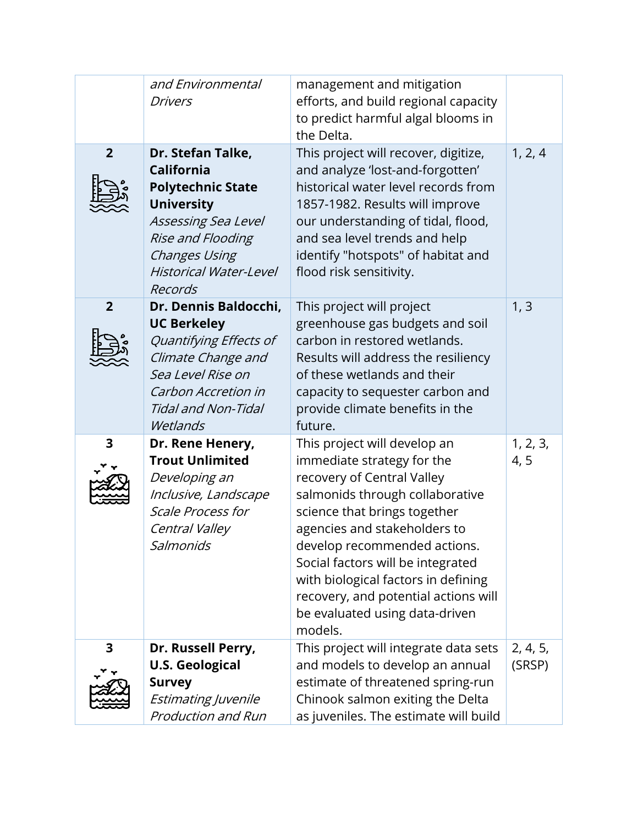|                 | and Environmental<br><b>Drivers</b>                                                                                                                                                              | management and mitigation<br>efforts, and build regional capacity<br>to predict harmful algal blooms in<br>the Delta.                                                                                                                                                                                                                                                                        |                    |
|-----------------|--------------------------------------------------------------------------------------------------------------------------------------------------------------------------------------------------|----------------------------------------------------------------------------------------------------------------------------------------------------------------------------------------------------------------------------------------------------------------------------------------------------------------------------------------------------------------------------------------------|--------------------|
| $2\overline{ }$ | Dr. Stefan Talke,<br><b>California</b><br><b>Polytechnic State</b><br><b>University</b><br>Assessing Sea Level<br>Rise and Flooding<br>Changes Using<br><b>Historical Water-Level</b><br>Records | This project will recover, digitize,<br>and analyze 'lost-and-forgotten'<br>historical water level records from<br>1857-1982. Results will improve<br>our understanding of tidal, flood,<br>and sea level trends and help<br>identify "hotspots" of habitat and<br>flood risk sensitivity.                                                                                                   | 1, 2, 4            |
| $\overline{2}$  | Dr. Dennis Baldocchi,<br><b>UC Berkeley</b><br>Quantifying Effects of<br>Climate Change and<br>Sea Level Rise on<br>Carbon Accretion in<br>Tidal and Non-Tidal<br>Wetlands                       | This project will project<br>greenhouse gas budgets and soil<br>carbon in restored wetlands.<br>Results will address the resiliency<br>of these wetlands and their<br>capacity to sequester carbon and<br>provide climate benefits in the<br>future.                                                                                                                                         | 1, 3               |
| 3               | Dr. Rene Henery,<br><b>Trout Unlimited</b><br>Developing an<br>Inclusive, Landscape<br><b>Scale Process for</b><br>Central Valley<br>Salmonids                                                   | This project will develop an<br>immediate strategy for the<br>recovery of Central Valley<br>salmonids through collaborative<br>science that brings together<br>agencies and stakeholders to<br>develop recommended actions.<br>Social factors will be integrated<br>with biological factors in defining<br>recovery, and potential actions will<br>be evaluated using data-driven<br>models. | 1, 2, 3,<br>4, 5   |
| 3               | Dr. Russell Perry,<br><b>U.S. Geological</b><br><b>Survey</b><br>Estimating Juvenile<br><b>Production and Run</b>                                                                                | This project will integrate data sets<br>and models to develop an annual<br>estimate of threatened spring-run<br>Chinook salmon exiting the Delta<br>as juveniles. The estimate will build                                                                                                                                                                                                   | 2, 4, 5,<br>(SRSP) |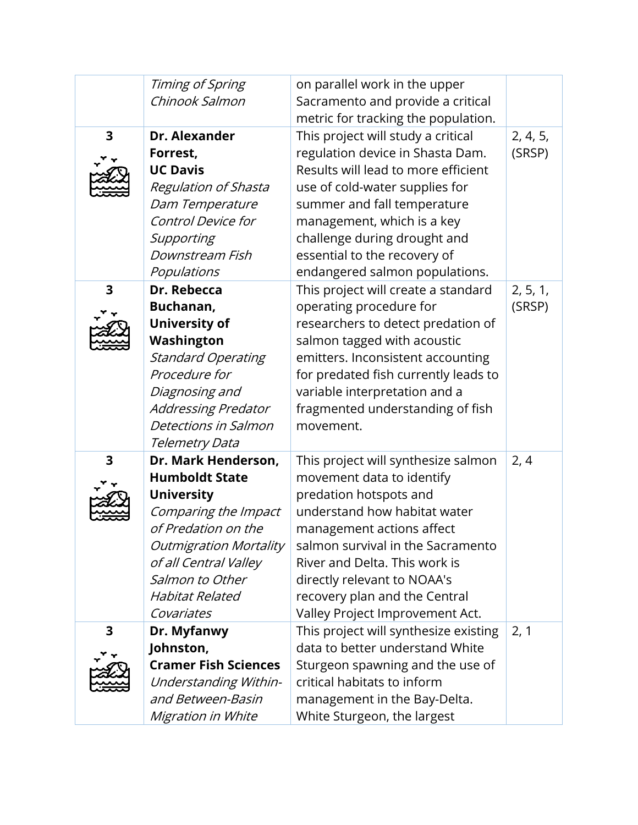|                         | Timing of Spring<br>Chinook Salmon       | on parallel work in the upper<br>Sacramento and provide a critical       |          |
|-------------------------|------------------------------------------|--------------------------------------------------------------------------|----------|
|                         |                                          | metric for tracking the population.                                      |          |
| 3                       | Dr. Alexander                            | This project will study a critical                                       | 2, 4, 5, |
|                         | Forrest,                                 | regulation device in Shasta Dam.                                         | (SRSP)   |
|                         | <b>UC Davis</b>                          | Results will lead to more efficient                                      |          |
|                         | <b>Regulation of Shasta</b>              | use of cold-water supplies for                                           |          |
|                         | Dam Temperature                          | summer and fall temperature                                              |          |
|                         | <b>Control Device for</b>                | management, which is a key                                               |          |
|                         | Supporting                               | challenge during drought and                                             |          |
|                         | Downstream Fish                          | essential to the recovery of                                             |          |
|                         | Populations                              | endangered salmon populations.                                           |          |
| $\overline{\mathbf{3}}$ | Dr. Rebecca                              | This project will create a standard                                      | 2, 5, 1, |
|                         | Buchanan,                                | operating procedure for                                                  | (SRSP)   |
|                         | <b>University of</b>                     | researchers to detect predation of                                       |          |
|                         | Washington                               | salmon tagged with acoustic                                              |          |
|                         | <b>Standard Operating</b>                | emitters. Inconsistent accounting                                        |          |
|                         | Procedure for                            | for predated fish currently leads to                                     |          |
|                         | Diagnosing and                           | variable interpretation and a                                            |          |
|                         | <b>Addressing Predator</b>               | fragmented understanding of fish                                         |          |
|                         | Detections in Salmon                     | movement.                                                                |          |
|                         | Telemetry Data                           |                                                                          |          |
| 3                       | Dr. Mark Henderson,                      | This project will synthesize salmon                                      | 2, 4     |
|                         | <b>Humboldt State</b>                    | movement data to identify                                                |          |
|                         | <b>University</b>                        | predation hotspots and                                                   |          |
|                         | Comparing the Impact                     | understand how habitat water                                             |          |
|                         | of Predation on the                      | management actions affect                                                |          |
|                         | <b>Outmigration Mortality</b>            | salmon survival in the Sacramento                                        |          |
|                         | of all Central Valley                    | River and Delta. This work is                                            |          |
|                         | Salmon to Other                          | directly relevant to NOAA's                                              |          |
|                         | Habitat Related                          | recovery plan and the Central                                            |          |
|                         | Covariates                               | Valley Project Improvement Act.                                          |          |
| 3                       | Dr. Myfanwy                              | This project will synthesize existing<br>data to better understand White | 2, 1     |
|                         | Johnston,<br><b>Cramer Fish Sciences</b> |                                                                          |          |
|                         | <b>Understanding Within-</b>             | Sturgeon spawning and the use of<br>critical habitats to inform          |          |
|                         | and Between-Basin                        | management in the Bay-Delta.                                             |          |
|                         |                                          |                                                                          |          |
|                         | Migration in White                       | White Sturgeon, the largest                                              |          |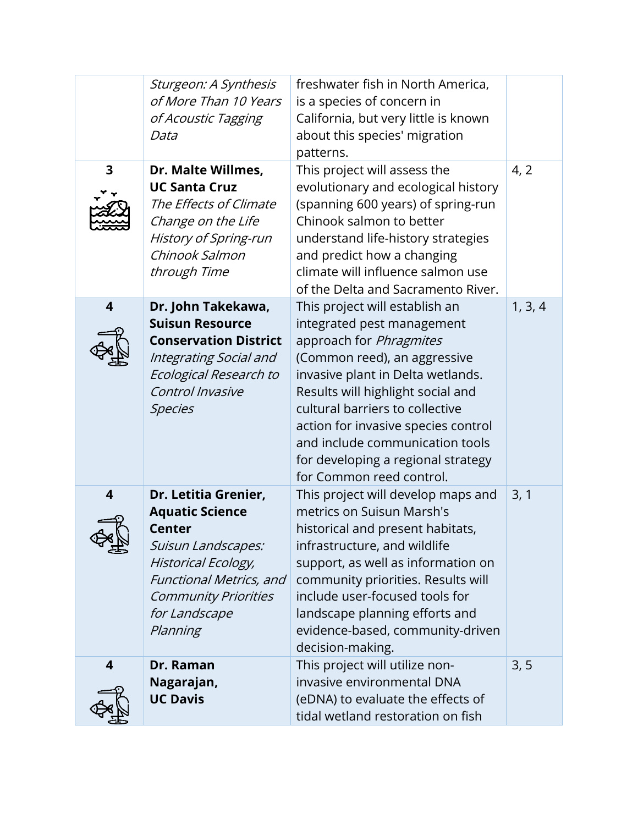| 3                             | Sturgeon: A Synthesis<br>of More Than 10 Years<br>of Acoustic Tagging<br>Data<br>Dr. Malte Willmes,<br><b>UC Santa Cruz</b>                                                                         | freshwater fish in North America,<br>is a species of concern in<br>California, but very little is known<br>about this species' migration<br>patterns.<br>This project will assess the<br>evolutionary and ecological history                                                                                                                                                     | 4, 2    |
|-------------------------------|-----------------------------------------------------------------------------------------------------------------------------------------------------------------------------------------------------|----------------------------------------------------------------------------------------------------------------------------------------------------------------------------------------------------------------------------------------------------------------------------------------------------------------------------------------------------------------------------------|---------|
|                               | The Effects of Climate<br>Change on the Life<br>History of Spring-run<br>Chinook Salmon<br>through Time                                                                                             | (spanning 600 years) of spring-run<br>Chinook salmon to better<br>understand life-history strategies<br>and predict how a changing<br>climate will influence salmon use<br>of the Delta and Sacramento River.                                                                                                                                                                    |         |
| $\overline{\mathbf{4}}$       | Dr. John Takekawa,<br><b>Suisun Resource</b><br><b>Conservation District</b><br>Integrating Social and<br>Ecological Research to<br>Control Invasive<br><b>Species</b>                              | This project will establish an<br>integrated pest management<br>approach for Phragmites<br>(Common reed), an aggressive<br>invasive plant in Delta wetlands.<br>Results will highlight social and<br>cultural barriers to collective<br>action for invasive species control<br>and include communication tools<br>for developing a regional strategy<br>for Common reed control. | 1, 3, 4 |
| $\overline{\mathbf{4}}$<br>⋖飛 | Dr. Letitia Grenier,<br><b>Aquatic Science</b><br><b>Center</b><br>Suisun Landscapes:<br>Historical Ecology,<br>Functional Metrics, and<br><b>Community Priorities</b><br>for Landscape<br>Planning | This project will develop maps and<br>metrics on Suisun Marsh's<br>historical and present habitats,<br>infrastructure, and wildlife<br>support, as well as information on<br>community priorities. Results will<br>include user-focused tools for<br>landscape planning efforts and<br>evidence-based, community-driven<br>decision-making.                                      | 3, 1    |
| 4                             | Dr. Raman<br>Nagarajan,<br><b>UC Davis</b>                                                                                                                                                          | This project will utilize non-<br>invasive environmental DNA<br>(eDNA) to evaluate the effects of<br>tidal wetland restoration on fish                                                                                                                                                                                                                                           | 3, 5    |